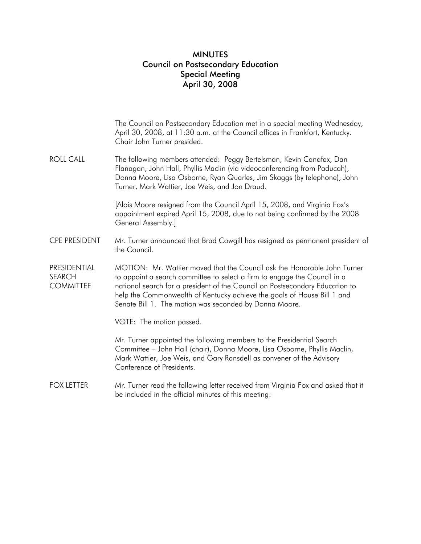## MINUTES Council on Postsecondary Education Special Meeting April 30, 2008

|                                            | The Council on Postsecondary Education met in a special meeting Wednesday,<br>April 30, 2008, at 11:30 a.m. at the Council offices in Frankfort, Kentucky.<br>Chair John Turner presided.                                                                                                                                                                                  |
|--------------------------------------------|----------------------------------------------------------------------------------------------------------------------------------------------------------------------------------------------------------------------------------------------------------------------------------------------------------------------------------------------------------------------------|
| <b>ROLL CALL</b>                           | The following members attended: Peggy Bertelsman, Kevin Canafax, Dan<br>Flanagan, John Hall, Phyllis Maclin (via videoconferencing from Paducah),<br>Donna Moore, Lisa Osborne, Ryan Quarles, Jim Skaggs (by telephone), John<br>Turner, Mark Wattier, Joe Weis, and Jon Draud.                                                                                            |
|                                            | [Alois Moore resigned from the Council April 15, 2008, and Virginia Fox's<br>appointment expired April 15, 2008, due to not being confirmed by the 2008<br>General Assembly.]                                                                                                                                                                                              |
| <b>CPE PRESIDENT</b>                       | Mr. Turner announced that Brad Cowgill has resigned as permanent president of<br>the Council.                                                                                                                                                                                                                                                                              |
| PRESIDENTIAL<br>SEARCH<br><b>COMMITTEE</b> | MOTION: Mr. Wattier moved that the Council ask the Honorable John Turner<br>to appoint a search committee to select a firm to engage the Council in a<br>national search for a president of the Council on Postsecondary Education to<br>help the Commonwealth of Kentucky achieve the goals of House Bill 1 and<br>Senate Bill 1. The motion was seconded by Donna Moore. |
|                                            | VOTE: The motion passed.                                                                                                                                                                                                                                                                                                                                                   |
|                                            | Mr. Turner appointed the following members to the Presidential Search<br>Committee - John Hall (chair), Donna Moore, Lisa Osborne, Phyllis Maclin,<br>Mark Wattier, Joe Weis, and Gary Ransdell as convener of the Advisory<br>Conference of Presidents.                                                                                                                   |
| FOX LETTER                                 | Mr. Turner read the following letter received from Virginia Fox and asked that it<br>be included in the official minutes of this meeting:                                                                                                                                                                                                                                  |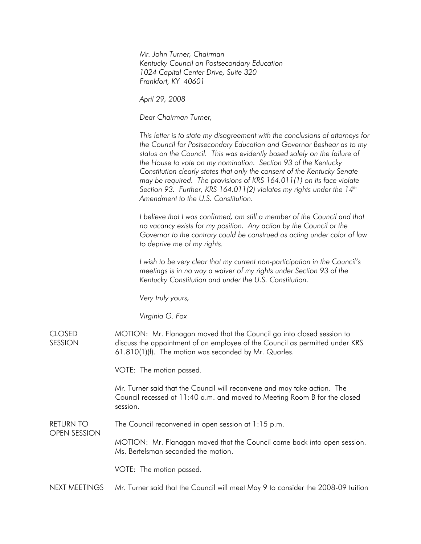*Mr. John Turner, Chairman Kentucky Council on Postsecondary Education 1024 Capital Center Drive, Suite 320 Frankfort, KY 40601* 

*April 29, 2008* 

*Dear Chairman Turner,* 

*This letter is to state my disagreement with the conclusions of attorneys for the Council for Postsecondary Education and Governor Beshear as to my status on the Council. This was evidently based solely on the failure of the House to vote on my nomination. Section 93 of the Kentucky Constitution clearly states that only the consent of the Kentucky Senate may be required. The provisions of KRS 164.011(1) on its face violate*  Section 93. Further, KRS 164.011(2) violates my rights under the 14<sup>th</sup> *Amendment to the U.S. Constitution.* 

*I believe that I was confirmed, am still a member of the Council and that no vacancy exists for my position. Any action by the Council or the Governor to the contrary could be construed as acting under color of law to deprive me of my rights.* 

*I wish to be very clear that my current non-participation in the Council's meetings is in no way a waiver of my rights under Section 93 of the Kentucky Constitution and under the U.S. Constitution.* 

*Very truly yours,* 

*Virginia G. Fox* 

CLOSED **SESSION** MOTION: Mr. Flanagan moved that the Council go into closed session to discuss the appointment of an employee of the Council as permitted under KRS 61.810(1)(f). The motion was seconded by Mr. Quarles.

VOTE: The motion passed.

Mr. Turner said that the Council will reconvene and may take action. The Council recessed at 11:40 a.m. and moved to Meeting Room B for the closed session.

RETURN TO The Council reconvened in open session at 1:15 p.m.

> MOTION: Mr. Flanagan moved that the Council come back into open session. Ms. Bertelsman seconded the motion.

VOTE: The motion passed.

OPEN SESSION

NEXT MEETINGS Mr. Turner said that the Council will meet May 9 to consider the 2008-09 tuition